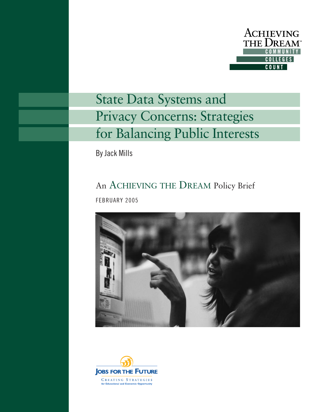

# State Data Systems and Privacy Concerns: Strategies for Balancing Public Interests

By Jack Mills

## An ACHIEVING THE DREAM Policy Brief FEBRUARY 2005



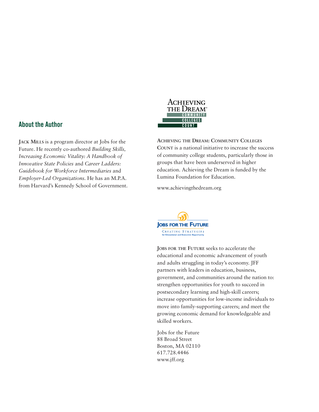## **About the Author**

**JACK MILLS** is a program director at Jobs for the Future. He recently co-authored *Building Skills, Increasing Economic Vitality: A Handbook of Innovative State Policies* and *Career Ladders: Guidebook for Workforce Intermediaries* and *Employer-Led Organizations.* He has an M.P.A. from Harvard's Kennedy School of Government.



**ACHIEVING THE DREAM: COMMUNITY COLLEGES COUNT** is a national initiative to increase the success of community college students, particularly those in groups that have been underserved in higher education. Achieving the Dream is funded by the Lumina Foundation for Education.

www.achievingthedream.org



**JOBS FOR THE FUTURE** seeks to accelerate the educational and economic advancement of youth and adults struggling in today's economy. JFF partners with leaders in education, business, government, and communities around the nation to: strengthen opportunities for youth to succeed in postsecondary learning and high-skill careers; increase opportunities for low-income individuals to move into family-supporting careers; and meet the growing economic demand for knowledgeable and skilled workers.

Jobs for the Future 88 Broad Street Boston, MA 02110 617.728.4446 www.jff.org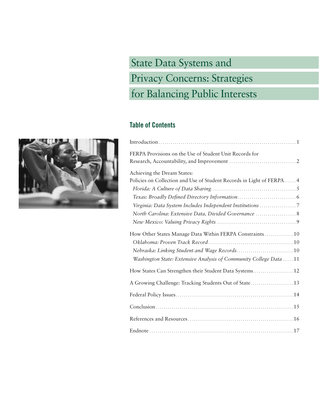State Data Systems and Privacy Concerns: Strategies for Balancing Public Interests

## **Table of Contents**

| FERPA Provisions on the Use of Student Unit Records for                                                                                                                                                                    |
|----------------------------------------------------------------------------------------------------------------------------------------------------------------------------------------------------------------------------|
| Achieving the Dream States:<br>Policies on Collection and Use of Student Records in Light of FERPA 4<br>Virginia: Data System Includes Independent Institutions 7<br>North Carolina: Extensive Data, Divided Governance  8 |
| How Other States Manage Data Within FERPA Constraints  10<br>Nebraska: Linking Student and Wage Records 10<br>Washington State: Extensive Analysis of Community College Data  11                                           |
| How States Can Strengthen their Student Data Systems 12                                                                                                                                                                    |
| A Growing Challenge: Tracking Students Out of State 13                                                                                                                                                                     |
|                                                                                                                                                                                                                            |
|                                                                                                                                                                                                                            |
|                                                                                                                                                                                                                            |
|                                                                                                                                                                                                                            |

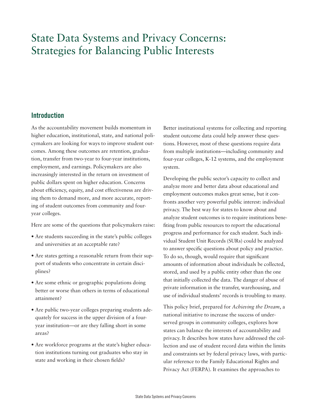## State Data Systems and Privacy Concerns: Strategies for Balancing Public Interests

## **Introduction**

As the accountability movement builds momentum in higher education, institutional, state, and national policymakers are looking for ways to improve student outcomes. Among these outcomes are retention, graduation, transfer from two-year to four-year institutions, employment, and earnings. Policymakers are also increasingly interested in the return on investment of public dollars spent on higher education. Concerns about efficiency, equity, and cost effectiveness are driving them to demand more, and more accurate, reporting of student outcomes from community and fouryear colleges.

Here are some of the questions that policymakers raise:

- Are students succeeding in the state's public colleges and universities at an acceptable rate?
- Are states getting a reasonable return from their support of students who concentrate in certain disciplines?
- Are some ethnic or geographic populations doing better or worse than others in terms of educational attainment?
- Are public two-year colleges preparing students adequately for success in the upper division of a fouryear institution—or are they falling short in some areas?
- Are workforce programs at the state's higher education institutions turning out graduates who stay in state and working in their chosen fields?

Better institutional systems for collecting and reporting student outcome data could help answer these questions. However, most of these questions require data from multiple institutions—including community and four-year colleges, K-12 systems, and the employment system.

Developing the public sector's capacity to collect and analyze more and better data about educational and employment outcomes makes great sense, but it confronts another very powerful public interest: individual privacy. The best way for states to know about and analyze student outcomes is to require institutions benefiting from public resources to report the educational progress and performance for each student. Such individual Student Unit Records (SURs) could be analyzed to answer specific questions about policy and practice. To do so, though, would require that significant amounts of information about individuals be collected, stored, and used by a public entity other than the one that initially collected the data. The danger of abuse of private information in the transfer, warehousing, and use of individual students' records is troubling to many.

This policy brief, prepared for *Achieving the Dream*, a national initiative to increase the success of underserved groups in community colleges, explores how states can balance the interests of accountability and privacy. It describes how states have addressed the collection and use of student record data within the limits and constraints set by federal privacy laws, with particular reference to the Family Educational Rights and Privacy Act (FERPA). It examines the approaches to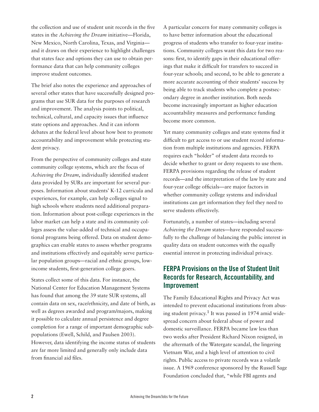the collection and use of student unit records in the five states in the *Achieving the Dream* initiative—Florida, New Mexico, North Carolina, Texas, and Virginia and it draws on their experience to highlight challenges that states face and options they can use to obtain performance data that can help community colleges improve student outcomes.

The brief also notes the experience and approaches of several other states that have successfully designed programs that use SUR data for the purposes of research and improvement. The analysis points to political, technical, cultural, and capacity issues that influence state options and approaches. And it can inform debates at the federal level about how best to promote accountability and improvement while protecting student privacy.

From the perspective of community colleges and state community college systems, which are the focus of *Achieving the Dream*, individually identified student data provided by SURs are important for several purposes. Information about students' K-12 curricula and experiences, for example, can help colleges signal to high schools where students need additional preparation. Information about post-college experiences in the labor market can help a state and its community colleges assess the value-added of technical and occupational programs being offered. Data on student demographics can enable states to assess whether programs and institutions effectively and equitably serve particular population groups—racial and ethnic groups, lowincome students, first-generation college goers.

States collect some of this data. For instance, the National Center for Education Management Systems has found that among the 39 state SUR systems, all contain data on sex, race/ethnicity, and date of birth, as well as degrees awarded and program/majors, making it possible to calculate annual persistence and degree completion for a range of important demographic subpopulations (Ewell, Schild, and Paulsen 2003). However, data identifying the income status of students are far more limited and generally only include data from financial aid files.

A particular concern for many community colleges is to have better information about the educational progress of students who transfer to four-year institutions. Community colleges want this data for two reasons: first, to identify gaps in their educational offerings that make it difficult for transfers to succeed in four-year schools; and second, to be able to generate a more accurate accounting of their students' success by being able to track students who complete a postsecondary degree in another institution. Both needs become increasingly important as higher education accountability measures and performance funding become more common.

Yet many community colleges and state systems find it difficult to get access to or use student record information from multiple institutions and agencies. FERPA requires each "holder" of student data records to decide whether to grant or deny requests to use them. FERPA provisions regarding the release of student records—and the interpretation of the law by state and four-year college officials—are major factors in whether community college systems and individual institutions can get information they feel they need to serve students effectively.

Fortunately, a number of states—including several *Achieving the Dream* states—have responded successfully to the challenge of balancing the public interest in quality data on student outcomes with the equally essential interest in protecting individual privacy.

## **FERPA Provisions on the Use of Student Unit Records for Research, Accountability, and Improvement**

The Family Educational Rights and Privacy Act was intended to prevent educational institutions from abusing student privacy.<sup>1</sup> It was passed in 1974 amid widespread concern about federal abuse of power and domestic surveillance. FERPA became law less than two weeks after President Richard Nixon resigned, in the aftermath of the Watergate scandal, the lingering Vietnam War, and a high level of attention to civil rights. Public access to private records was a volatile issue. A 1969 conference sponsored by the Russell Sage Foundation concluded that, "while FBI agents and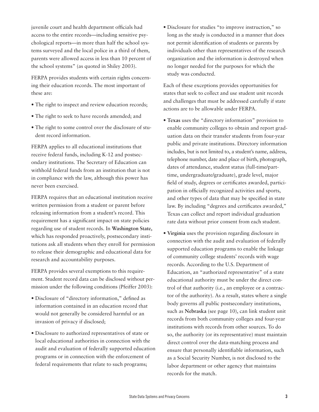juvenile court and health department officials had access to the entire records—including sensitive psychological reports—in more than half the school systems surveyed and the local police in a third of them, parents were allowed access in less than 10 percent of the school systems" (as quoted in Shiley 2003).

FERPA provides students with certain rights concerning their education records. The most important of these are:

- The right to inspect and review education records;
- The right to seek to have records amended; and
- The right to some control over the disclosure of student record information.

FERPA applies to all educational institutions that receive federal funds, including K-12 and postsecondary institutions. The Secretary of Education can withhold federal funds from an institution that is not in compliance with the law, although this power has never been exercised.

FERPA requires that an educational institution receive written permission from a student or parent before releasing information from a student's record. This requirement has a significant impact on state policies regarding use of student records. In **Washington State,** which has responded proactively, postsecondary institutions ask all students when they enroll for permission to release their demographic and educational data for research and accountability purposes.

FERPA provides several exemptions to this requirement. Student record data can be disclosed without permission under the following conditions (Pfeiffer 2003):

- Disclosure of "directory information," defined as information contained in an education record that would not generally be considered harmful or an invasion of privacy if disclosed;
- Disclosure to authorized representatives of state or local educational authorities in connection with the audit and evaluation of federally supported education programs or in connection with the enforcement of federal requirements that relate to such programs;

• Disclosure for studies "to improve instruction," so long as the study is conducted in a manner that does not permit identification of students or parents by individuals other than representatives of the research organization and the information is destroyed when no longer needed for the purposes for which the study was conducted.

Each of these exceptions provides opportunities for states that seek to collect and use student unit records and challenges that must be addressed carefully if state actions are to be allowable under FERPA.

- **Texas** uses the "directory information" provision to enable community colleges to obtain and report graduation data on their transfer students from four-year public and private institutions. Directory information includes, but is not limited to, a student's name, address, telephone number, date and place of birth, photograph, dates of attendance, student status (full-time/parttime, undergraduate/graduate), grade level, major field of study, degrees or certificates awarded, participation in officially recognized activities and sports, and other types of data that may be specified in state law. By including "degrees and certificates awarded," Texas can collect and report individual graduation rate data without prior consent from each student.
- **Virginia** uses the provision regarding disclosure in connection with the audit and evaluation of federally supported education programs to enable the linkage of community college students' records with wage records. According to the U.S. Department of Education, an "authorized representative" of a state educational authority must be under the direct control of that authority (i.e., an employee or a contractor of the authority). As a result, states where a single body governs all public postsecondary institutions, such as **Nebraska** (see page 10), can link student unit records from both community colleges and four-year institutions with records from other sources. To do so, the authority (or its representative) must maintain direct control over the data-matching process and ensure that personally identifiable information, such as a Social Security Number, is not disclosed to the labor department or other agency that maintains records for the match.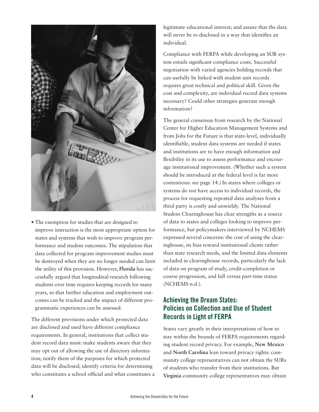

• The exemption for studies that are designed to improve instruction is the most appropriate option for states and systems that wish to improve program performance and student outcomes. The stipulation that data collected for program improvement studies must be destroyed when they are no longer needed can limit the utility of this provision. However, **Florida** has successfully argued that longitudinal research following students over time requires keeping records for many years, so that further education and employment outcomes can be tracked and the impact of different programmatic experiences can be assessed.

The different provisions under which protected data are disclosed and used have different compliance requirements. In general, institutions that collect student record data must: make students aware that they may opt out of allowing the use of directory information; notify them of the purposes for which protected data will be disclosed; identify criteria for determining who constitutes a school official and what constitutes a

legitimate educational interest; and assure that the data will never be re-disclosed in a way that identifies an individual.

Compliance with FERPA while developing an SUR system entails significant compliance costs. Successful negotiation with varied agencies holding records that can usefully be linked with student unit records requires great technical and political skill. Given the cost and complexity, are individual record data systems necessary? Could other strategies generate enough information?

The general consensus from research by the National Center for Higher Education Management Systems and from Jobs for the Future is that state-level, individually identifiable, student data systems are needed if states and institutions are to have enough information and flexibility in its use to assess performance and encourage institutional improvement. (Whether such a system should be introduced at the federal level is far more contentious: see page 14.) In states where colleges or systems do not have access to individual records, the process for requesting repeated data analyses from a third party is costly and unwieldy. The National Student Clearinghouse has clear strengths as a source of data to states and colleges looking to improve performance, but policymakers interviewed by NCHEMS expressed several concerns: the cost of using the clearinghouse, its bias toward institutional clients rather than state research needs, and the limited data elements included in clearinghouse records, particularly the lack of data on program of study, credit-completion or course progression, and full versus part-time status (NCHEMS n.d.).

## **Achieving the Dream States: Policies on Collection and Use of Student Records in Light of FERPA**

States vary greatly in their interpretations of how to stay within the bounds of FERPA requirements regarding student record privacy. For example, **New Mexico** and **North Carolina** lean toward privacy rights: community college representatives can not obtain the SURs of students who transfer from their institutions. But **Virginia** community college representatives may obtain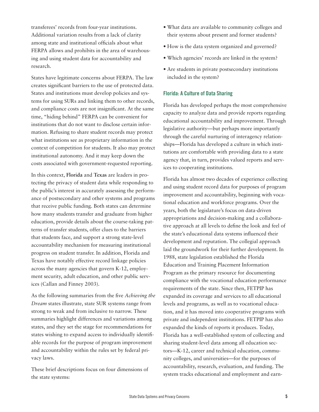transferees' records from four-year institutions. Additional variation results from a lack of clarity among state and institutional officials about what FERPA allows and prohibits in the area of warehousing and using student data for accountability and research.

States have legitimate concerns about FERPA. The law creates significant barriers to the use of protected data. States and institutions must develop policies and systems for using SURs and linking them to other records, and compliance costs are not insignificant. At the same time, "hiding behind" FERPA can be convenient for institutions that do not want to disclose certain information. Refusing to share student records may protect what institutions see as proprietary information in the context of competition for students. It also may protect institutional autonomy. And it may keep down the costs associated with government-requested reporting.

In this context, **Florida** and **Texas** are leaders in protecting the privacy of student data while responding to the public's interest in accurately assessing the performance of postsecondary and other systems and programs that receive public funding. Both states can determine how many students transfer and graduate from higher education, provide details about the course-taking patterns of transfer students, offer clues to the barriers that students face, and support a strong state-level accountability mechanism for measuring institutional progress on student transfer. In addition, Florida and Texas have notably effective record linkage policies across the many agencies that govern K-12, employment security, adult education, and other public services (Callan and Finney 2003).

As the following summaries from the five *Achieving the Dream* states illustrate, state SUR systems range from strong to weak and from inclusive to narrow. These summaries highlight differences and variations among states, and they set the stage for recommendations for states wishing to expand access to individually identifiable records for the purpose of program improvement and accountability within the rules set by federal privacy laws.

These brief descriptions focus on four dimensions of the state systems:

- What data are available to community colleges and their systems about present and former students?
- How is the data system organized and governed?
- Which agencies' records are linked in the system?
- Are students in private postsecondary institutions included in the system?

#### **Florida: A Culture of Data Sharing**

Florida has developed perhaps the most comprehensive capacity to analyze data and provide reports regarding educational accountability and improvement. Through legislative authority—but perhaps more importantly through the careful nurturing of interagency relationships—Florida has developed a culture in which institutions are comfortable with providing data to a state agency that, in turn, provides valued reports and services to cooperating institutions.

Florida has almost two decades of experience collecting and using student record data for purposes of program improvement and accountability, beginning with vocational education and workforce programs. Over the years, both the legislature's focus on data-driven appropriations and decision-making and a collaborative approach at all levels to define the look and feel of the state's educational data systems influenced their development and reputation. The collegial approach laid the groundwork for their further development. In 1988, state legislation established the Florida Education and Training Placement Information Program as the primary resource for documenting compliance with the vocational education performance requirements of the state. Since then, FETPIP has expanded its coverage and services to all educational levels and programs, as well as to vocational education, and it has moved into cooperative programs with private and independent institutions. FETPIP has also expanded the kinds of reports it produces. Today, Florida has a well-established system of collecting and sharing student-level data among all education sectors—K-12, career and technical education, community colleges, and universities—for the purposes of accountability, research, evaluation, and funding. The system tracks educational and employment and earn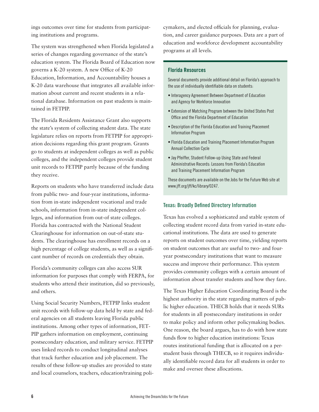ings outcomes over time for students from participating institutions and programs.

The system was strengthened when Florida legislated a series of changes regarding governance of the state's education system. The Florida Board of Education now governs a K-20 system. A new Office of K-20 Education, Information, and Accountability houses a K-20 data warehouse that integrates all available information about current and recent students in a relational database. Information on past students is maintained in FETPIP.

The Florida Residents Assistance Grant also supports the state's system of collecting student data. The state legislature relies on reports from FETPIP for appropriation decisions regarding this grant program. Grants go to students at independent colleges as well as public colleges, and the independent colleges provide student unit records to FETPIP partly because of the funding they receive.

Reports on students who have transferred include data from public two- and four-year institutions, information from in-state independent vocational and trade schools, information from in-state independent colleges, and information from out-of state colleges. Florida has contracted with the National Student Clearinghouse for information on out-of-state students. The clearinghouse has enrollment records on a high percentage of college students, as well as a significant number of records on credentials they obtain.

Florida's community colleges can also access SUR information for purposes that comply with FERPA, for students who attend their institution, did so previously, and others.

Using Social Security Numbers, FETPIP links student unit records with follow-up data held by state and federal agencies on all students leaving Florida public institutions. Among other types of information, FET-PIP gathers information on employment, continuing postsecondary education, and military service. FETPIP uses linked records to conduct longitudinal analyses that track further education and job placement. The results of these follow-up studies are provided to state and local counselors, teachers, education/training policymakers, and elected officials for planning, evaluation, and career guidance purposes. Data are a part of education and workforce development accountability programs at all levels.

#### **Florida Resources**

Several documents provide additional detail on Florida's approach to the use of individually identifiable data on students:

- Interagency Agreement Between Department of Education and Agency for Workforce Innovation
- Extension of Matching Program between the United States Post Office and the Florida Department of Education
- Description of the Florida Education and Training Placement Information Program
- Florida Education and Training Placement Information Program Annual Collection Cycle
- Jay Pfeiffer, Student Follow-up Using State and Federal Administrative Records: Lessons from Florida's Education and Training Placement Information Program

These documents are available on the Jobs for the Future Web site at www.jff.org/jff/kc/library/0247.

#### **Texas: Broadly Defined Directory Information**

Texas has evolved a sophisticated and stable system of collecting student record data from varied in-state educational institutions. The data are used to generate reports on student outcomes over time, yielding reports on student outcomes that are useful to two- and fouryear postsecondary institutions that want to measure success and improve their performance. This system provides community colleges with a certain amount of information about transfer students and how they fare.

The Texas Higher Education Coordinating Board is the highest authority in the state regarding matters of public higher education. THECB holds that it needs SURs for students in all postsecondary institutions in order to make policy and inform other policymaking bodies. One reason, the board argues, has to do with how state funds flow to higher education institutions: Texas routes institutional funding that is allocated on a perstudent basis through THECB, so it requires individually identifiable record data for all students in order to make and oversee these allocations.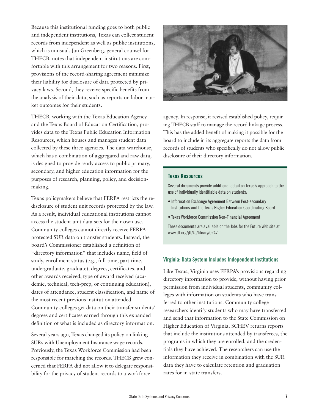Because this institutional funding goes to both public and independent institutions, Texas can collect student records from independent as well as public institutions, which is unusual. Jan Greenberg, general counsel for THECB, notes that independent institutions are comfortable with this arrangement for two reasons. First, provisions of the record-sharing agreement minimize their liability for disclosure of data protected by privacy laws. Second, they receive specific benefits from the analysis of their data, such as reports on labor market outcomes for their students.

THECB, working with the Texas Education Agency and the Texas Board of Education Certification, provides data to the Texas Public Education Information Resources, which houses and manages student data collected by these three agencies. The data warehouse, which has a combination of aggregated and raw data, is designed to provide ready access to public primary, secondary, and higher education information for the purposes of research, planning, policy, and decisionmaking.

Texas policymakers believe that FERPA restricts the redisclosure of student unit records protected by the law. As a result, individual educational institutions cannot access the student unit data sets for their own use. Community colleges cannot directly receive FERPAprotected SUR data on transfer students. Instead, the board's Commissioner established a definition of "directory information" that includes name, field of study, enrollment status (e.g., full-time, part-time, undergraduate, graduate), degrees, certificates, and other awards received, type of award received (academic, technical, tech-prep, or continuing education), dates of attendance, student classification, and name of the most recent previous institution attended. Community colleges get data on their transfer students' degrees and certificates earned through this expanded definition of what is included as directory information.

Several years ago, Texas changed its policy on linking SURs with Unemployment Insurance wage records. Previously, the Texas Workforce Commission had been responsible for matching the records. THECB grew concerned that FERPA did not allow it to delegate responsibility for the privacy of student records to a workforce



agency. In response, it revised established policy, requiring THECB staff to manage the record linkage process. This has the added benefit of making it possible for the board to include in its aggregate reports the data from records of students who specifically do not allow public disclosure of their directory information.

#### **Texas Resources**

Several documents provide additional detail on Texas's approach to the use of individually identifiable data on students:

- Information Exchange Agreement Between Post-secondary Institutions and the Texas Higher Education Coordinating Board
- Texas Workforce Commission Non-Financial Agreement

These documents are available on the Jobs for the Future Web site at www.jff.org/jff/kc/library/0247.

#### **Virginia: Data System Includes Independent Institutions**

Like Texas, Virginia uses FERPA's provisions regarding directory information to provide, without having prior permission from individual students, community colleges with information on students who have transferred to other institutions. Community college researchers identify students who may have transferred and send that information to the State Commission on Higher Education of Virginia. SCHEV returns reports that include the institutions attended by transferees, the programs in which they are enrolled, and the credentials they have achieved. The researchers can use the information they receive in combination with the SUR data they have to calculate retention and graduation rates for in-state transfers.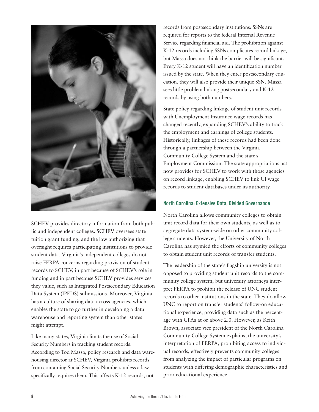

SCHEV provides directory information from both public and independent colleges. SCHEV oversees state tuition grant funding, and the law authorizing that oversight requires participating institutions to provide student data. Virginia's independent colleges do not raise FERPA concerns regarding provision of student records to SCHEV, in part because of SCHEV's role in funding and in part because SCHEV provides services they value, such as Integrated Postsecondary Education Data System (IPEDS) submissions. Moreover, Virginia has a culture of sharing data across agencies, which enables the state to go further in developing a data warehouse and reporting system than other states might attempt.

Like many states, Virginia limits the use of Social Security Numbers in tracking student records. According to Tod Massa, policy research and data warehousing director at SCHEV, Virginia prohibits records from containing Social Security Numbers unless a law specifically requires them. This affects K-12 records, not

records from postsecondary institutions: SSNs are required for reports to the federal Internal Revenue Service regarding financial aid. The prohibition against K-12 records including SSNs complicates record linkage, but Massa does not think the barrier will be significant. Every K-12 student will have an identification number issued by the state. When they enter postsecondary education, they will also provide their unique SSN. Massa sees little problem linking postsecondary and K-12 records by using both numbers.

State policy regarding linkage of student unit records with Unemployment Insurance wage records has changed recently, expanding SCHEV's ability to track the employment and earnings of college students. Historically, linkages of these records had been done through a partnership between the Virginia Community College System and the state's Employment Commission. The state appropriations act now provides for SCHEV to work with those agencies on record linkage, enabling SCHEV to link UI wage records to student databases under its authority.

#### **North Carolina: Extensive Data, Divided Governance**

North Carolina allows community colleges to obtain unit record data for their own students, as well as to aggregate data system-wide on other community college students. However, the University of North Carolina has stymied the efforts of community colleges to obtain student unit records of transfer students.

The leadership of the state's flagship university is not opposed to providing student unit records to the community college system, but university attorneys interpret FERPA to prohibit the release of UNC student records to other institutions in the state. They do allow UNC to report on transfer students' follow-on educational experience, providing data such as the percentage with GPAs at or above 2.0. However, as Keith Brown, associate vice president of the North Carolina Community College System explains, the university's interpretation of FERPA, prohibiting access to individual records, effectively prevents community colleges from analyzing the impact of particular programs on students with differing demographic characteristics and prior educational experience.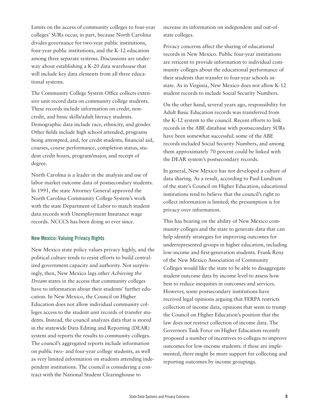Limits on the access of community colleges to four-year colleges' SURs occur, in part, because North Carolina divides governance for two-year public institutions, four-year public institutions, and the K-12 education among three separate systems. Discussions are underway about establishing a K-20 data warehouse that will include key data elements from all three educational systems.

The Community College System Office collects extensive unit record data on community college students. These records include information on credit, noncredit, and basic skills/adult literacy students. Demographic data include race, ethnicity, and gender. Other fields include high school attended, programs being attempted, and, for credit students, financial aid, courses, course performance, completion status, student credit hours, program/major, and receipt of degree.

North Carolina is a leader in the analysis and use of labor market outcome data of postsecondary students. In 1991, the state Attorney General approved the North Carolina Community College System's work with the state Department of Labor to match student data records with Unemployment Insurance wage records. NCCCS has been doing so ever since.

#### **New Mexico: Valuing Privacy Rights**

New Mexico state policy values privacy highly, and the political culture tends to resist efforts to build centralized government capacity and authority. Not surprisingly, then, New Mexico lags other *Achieving the Dream* states in the access that community colleges have to information about their students' further education. In New Mexico, the Council on Higher Education does not allow individual community colleges access to the student unit records of transfer students. Instead, the council analyzes data that is stored in the statewide Data Editing and Reporting (DEAR) system and reports the results to community colleges. The council's aggregated reports include information on public two- and four-year college students, as well as very limited information on students attending independent institutions. The council is considering a contract with the National Student Clearinghouse to

increase its information on independent and out-ofstate colleges.

Privacy concerns affect the sharing of educational records in New Mexico. Public four-year institutions are reticent to provide information to individual community colleges about the educational performance of their students that transfer to four-year schools instate. As in Virginia, New Mexico does not allow K-12 student records to include Social Security Numbers.

On the other hand, several years ago, responsibility for Adult Basic Education records was transferred from the K-12 system to the council. Recent efforts to link records in the ABE database with postsecondary SURs have been somewhat successful: some of the ABE records included Social Security Numbers, and among them approximately 70 percent could be linked with the DEAR system's postsecondary records.

In general, New Mexico has not developed a culture of data sharing. As a result, according to Paul Lundrum of the state's Council on Higher Education, educational institutions tend to believe that the council's right to collect information is limited; the presumption is for privacy over information.

This has bearing on the ability of New Mexico community colleges and the state to generate data that can help identify strategies for improving outcomes for underrepresented groups in higher education, including low-income and first-generation students. Frank Renz of the New Mexico Association of Community Colleges would like the state to be able to disaggregate student outcome data by income level to assess how best to reduce inequities in outcomes and services. However, some postsecondary institutions have received legal opinions arguing that FERPA restricts collection of income data, opinions that seem to trump the Council on Higher Education's position that the law does not restrict collection of income data. The Governors Task Force on Higher Education recently proposed a number of incentives to colleges to improve outcomes for low-income students: if these are implemented, there might be more support for collecting and reporting outcomes by income groupings.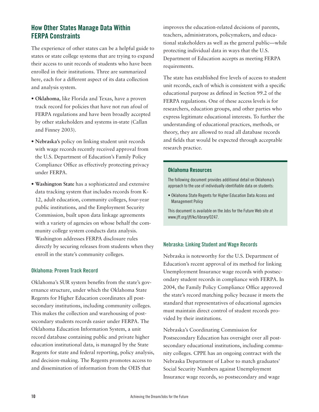## **How Other States Manage Data Within FERPA Constraints**

The experience of other states can be a helpful guide to states or state college systems that are trying to expand their access to unit records of students who have been enrolled in their institutions. Three are summarized here, each for a different aspect of its data collection and analysis system.

- **Oklahoma**, like Florida and Texas, have a proven track record for policies that have not run afoul of FERPA regulations and have been broadly accepted by other stakeholders and systems in-state (Callan and Finney 2003).
- **Nebraska's** policy on linking student unit records with wage records recently received approval from the U.S. Department of Education's Family Policy Compliance Office as effectively protecting privacy under FERPA.
- **Washington State** has a sophisticated and extensive data tracking system that includes records from K-12, adult education, community colleges, four-year public institutions, and the Employment Security Commission, built upon data linkage agreements with a variety of agencies on whose behalf the community college system conducts data analysis. Washington addresses FERPA disclosure rules directly by securing releases from students when they enroll in the state's community colleges.

#### **Oklahoma: Proven Track Record**

Oklahoma's SUR system benefits from the state's governance structure, under which the Oklahoma State Regents for Higher Education coordinates all postsecondary institutions, including community colleges. This makes the collection and warehousing of postsecondary students records easier under FERPA. The Oklahoma Education Information System, a unit record database containing public and private higher education institutional data, is managed by the State Regents for state and federal reporting, policy analysis, and decision-making. The Regents promotes access to and dissemination of information from the OEIS that

improves the education-related decisions of parents, teachers, administrators, policymakers, and educational stakeholders as well as the general public—while protecting individual data in ways that the U.S. Department of Education accepts as meeting FERPA requirements.

The state has established five levels of access to student unit records, each of which is consistent with a specific educational purpose as defined in Section 99.2 of the FERPA regulations. One of these access levels is for researchers, education groups, and other parties who express legitimate educational interests. To further the understanding of educational practices, methods, or theory, they are allowed to read all database records and fields that would be expected through acceptable research practice.

#### **Oklahoma Resources**

The following document provides additional detail on Oklahoma's approach to the use of individually identifiable data on students:

• Oklahoma State Regents for Higher Education Data Access and Management Policy

This document is available on the Jobs for the Future Web site at www.jff.org/jff/kc/library/0247.

#### **Nebraska: Linking Student and Wage Records**

Nebraska is noteworthy for the U.S. Department of Education's recent approval of its method for linking Unemployment Insurance wage records with postsecondary student records in compliance with FERPA. In 2004, the Family Policy Compliance Office approved the state's record matching policy because it meets the standard that representatives of educational agencies must maintain direct control of student records provided by their institutions.

Nebraska's Coordinating Commission for Postsecondary Education has oversight over all postsecondary educational institutions, including community colleges. CPPE has an ongoing contract with the Nebraska Department of Labor to match graduates' Social Security Numbers against Unemployment Insurance wage records, so postsecondary and wage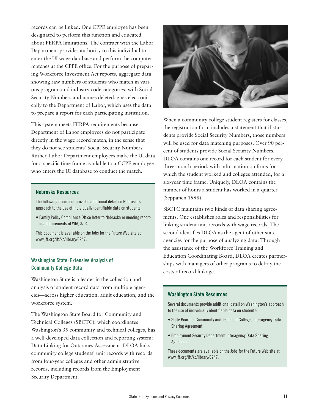records can be linked. One CPPE employee has been designated to perform this function and educated about FERPA limitations. The contract with the Labor Department provides authority to this individual to enter the UI wage database and perform the computer matches at the CPPE office. For the purpose of preparing Workforce Investment Act reports, aggregate data showing raw numbers of students who match in various program and industry code categories, with Social Security Numbers and names deleted, goes electronically to the Department of Labor, which uses the data to prepare a report for each participating institution.

This system meets FERPA requirements because Department of Labor employees do not participate directly in the wage record match, in the sense that they do not see students' Social Security Numbers. Rather, Labor Department employees make the UI data for a specific time frame available to a CCPE employee who enters the UI database to conduct the match.

#### **Nebraska Resources**

The following document provides additional detail on Nebraska's approach to the use of individually identifiable data on students:

• Family Policy Compliance Office letter to Nebraska re meeting reporting requirements of WIA, 3/04

This document is available on the Jobs for the Future Web site at www.jff.org/jff/kc/library/0247.

#### **Washington State: Extensive Analysis of Community College Data**

Washington State is a leader in the collection and analysis of student record data from multiple agencies—across higher education, adult education, and the workforce system.

The Washington State Board for Community and Technical Colleges (SBCTC), which coordinates Washington's 35 community and technical colleges, has a well-developed data collection and reporting system: Data Linking for Outcomes Assessment. DLOA links community college students' unit records with records from four-year colleges and other administrative records, including records from the Employment Security Department.



When a community college student registers for classes, the registration form includes a statement that if students provide Social Security Numbers, those numbers will be used for data matching purposes. Over 90 percent of students provide Social Security Numbers. DLOA contains one record for each student for every three-month period, with information on firms for which the student worked and colleges attended, for a six-year time frame. Uniquely, DLOA contains the number of hours a student has worked in a quarter (Seppanen 1998).

SBCTC maintains two kinds of data sharing agreements. One establishes roles and responsibilities for linking student unit records with wage records. The second identifies DLOA as the agent of other state agencies for the purpose of analyzing data. Through the assistance of the Workforce Training and Education Coordinating Board, DLOA creates partnerships with managers of other programs to defray the costs of record linkage.

#### **Washington State Resources**

Several documents provide additional detail on Washington's approach to the use of individually identifiable data on students:

- State Board of Community and Technical Colleges Interagency Data Sharing Agreement
- Employment Security Department Interagency Data Sharing Agreement

These documents are available on the Jobs for the Future Web site at www.jff.org/jff/kc/library/0247.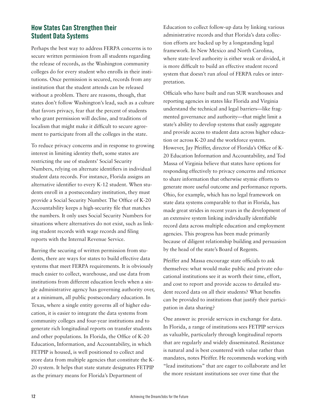## **How States Can Strengthen their Student Data Systems**

Perhaps the best way to address FERPA concerns is to secure written permission from all students regarding the release of records, as the Washington community colleges do for every student who enrolls in their institutions. Once permission is secured, records from any institution that the student attends can be released without a problem. There are reasons, though, that states don't follow Washington's lead, such as a culture that favors privacy, fear that the percent of students who grant permission will decline, and traditions of localism that might make it difficult to secure agreement to participate from all the colleges in the state.

To reduce privacy concerns and in response to growing interest in limiting identity theft, some states are restricting the use of students' Social Security Numbers, relying on alternate identifiers in individual student data records. For instance, Florida assigns an alternative identifier to every K-12 student. When students enroll in a postsecondary institution, they must provide a Social Security Number. The Office of K-20 Accountability keeps a high-security file that matches the numbers. It only uses Social Security Numbers for situations where alternatives do not exist, such as linking student records with wage records and filing reports with the Internal Revenue Service.

Barring the securing of written permission from students, there are ways for states to build effective data systems that meet FERPA requirements. It is obviously much easier to collect, warehouse, and use data from institutions from different education levels when a single administrative agency has governing authority over, at a minimum, all public postsecondary education. In Texas, where a single entity governs all of higher education, it is easier to integrate the data systems from community colleges and four-year institutions and to generate rich longitudinal reports on transfer students and other populations. In Florida, the Office of K-20 Education, Information, and Accountability, in which FETPIP is housed, is well positioned to collect and store data from multiple agencies that constitute the K-20 system. It helps that state statute designates FETPIP as the primary means for Florida's Department of

Education to collect follow-up data by linking various administrative records and that Florida's data collection efforts are backed up by a longstanding legal framework. In New Mexico and North Carolina, where state-level authority is either weak or divided, it is more difficult to build an effective student record system that doesn't run afoul of FERPA rules or interpretation.

Officials who have built and run SUR warehouses and reporting agencies in states like Florida and Virginia understand the technical and legal barriers—like fragmented governance and authority—that might limit a state's ability to develop systems that easily aggregate and provide access to student data across higher education or across K-20 and the workforce system. However, Jay Pfeiffer, director of Florida's Office of K-20 Education Information and Accountability, and Tod Massa of Virginia believe that states have options for responding effectively to privacy concerns and reticence to share information that otherwise stymie efforts to generate more useful outcome and performance reports. Ohio, for example, which has no legal framework on state data systems comparable to that in Florida, has made great strides in recent years in the development of an extensive system linking individually identifiable record data across multiple education and employment agencies. This progress has been made primarily because of diligent relationship building and persuasion by the head of the state's Board of Regents.

Pfeiffer and Massa encourage state officials to ask themselves: what would make public and private educational institutions see it as worth their time, effort, and cost to report and provide access to detailed student record data on all their students? What benefits can be provided to institutions that justify their participation in data sharing?

One answer is: provide services in exchange for data. In Florida, a range of institutions sees FETPIP services as valuable, particularly through longitudinal reports that are regularly and widely disseminated. Resistance is natural and is best countered with value rather than mandates, notes Pfeiffer. He recommends working with "lead institutions" that are eager to collaborate and let the more resistant institutions see over time that the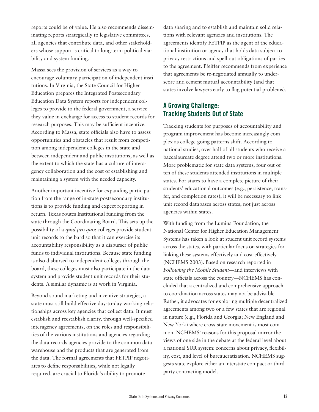reports could be of value. He also recommends disseminating reports strategically to legislative committees, all agencies that contribute data, and other stakeholders whose support is critical to long-term political viability and system funding.

Massa sees the provision of services as a way to encourage voluntary participation of independent institutions. In Virginia, the State Council for Higher Education prepares the Integrated Postsecondary Education Data System reports for independent colleges to provide to the federal government, a service they value in exchange for access to student records for research purposes. This may be sufficient incentive. According to Massa, state officials also have to assess opportunities and obstacles that result from competition among independent colleges in the state and between independent and public institutions, as well as the extent to which the state has a culture of interagency collaboration and the cost of establishing and maintaining a system with the needed capacity.

Another important incentive for expanding participation from the range of in-state postsecondary institutions is to provide funding and expect reporting in return. Texas routes Institutional funding from the state through the Coordinating Board. This sets up the possibility of a *quid pro quo*: colleges provide student unit records to the bard so that it can exercise its accountability responsibility as a disburser of public funds to individual institutions. Because state funding is also disbursed to independent colleges through the board, these colleges must also participate in the data system and provide student unit records for their students. A similar dynamic is at work in Virginia.

Beyond sound marketing and incentive strategies, a state must still build effective day-to-day working relationships across key agencies that collect data. It must establish and reestablish clarity, through well-specified interagency agreements, on the roles and responsibilities of the various institutions and agencies regarding the data records agencies provide to the common data warehouse and the products that are generated from the data. The formal agreements that FETPIP negotiates to define responsibilities, while not legally required, are crucial to Florida's ability to promote

data sharing and to establish and maintain solid relations with relevant agencies and institutions. The agreements identify FETPIP as the agent of the educational institution or agency that holds data subject to privacy restrictions and spell out obligations of parties to the agreement. Pfeiffer recommends from experience that agreements be re-negotiated annually to underscore and cement mutual accountability (and that states involve lawyers early to flag potential problems).

## **A Growing Challenge: Tracking Students Out of State**

Tracking students for purposes of accountability and program improvement has become increasingly complex as college-going patterns shift. According to national studies, over half of all students who receive a baccalaureate degree attend two or more institutions. More problematic for state data systems, four out of ten of these students attended institutions in multiple states. For states to have a complete picture of their students' educational outcomes (e.g., persistence, transfer, and completion rates), it will be necessary to link unit record databases across states, not just across agencies within states.

With funding from the Lumina Foundation, the National Center for Higher Education Management Systems has taken a look at student unit record systems across the states, with particular focus on strategies for linking these systems effectively and cost-effectively (NCHEMS 2003). Based on research reported in *Following the Mobile Student*—and interviews with state officials across the country—NCHEMS has concluded that a centralized and comprehensive approach to coordination across states may not be advisable. Rather, it advocates for exploring multiple decentralized agreements among two or a few states that are regional in nature (e.g., Florida and Georgia; New England and New York) where cross-state movement is most common. NCHEMS' reasons for this proposal mirror the views of one side in the debate at the federal level about a national SUR system: concerns about privacy, flexibility, cost, and level of bureaucratization. NCHEMS suggests state explore either an interstate compact or thirdparty contracting model.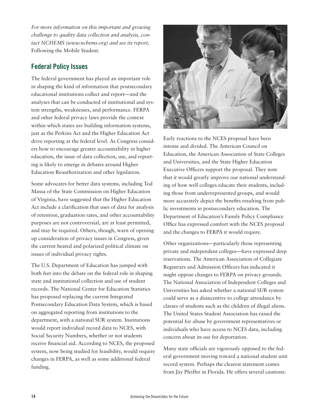*For more information on this important and growing challenge to quality data collection and analysis, contact NCHEMS (www.nchems.org) and see its report,* Following the Mobile Student*.* 

## **Federal Policy Issues**

The federal government has played an important role in shaping the kind of information that postsecondary educational institutions collect and report—and the analyses that can be conducted of institutional and system strengths, weaknesses, and performance. FERPA and other federal privacy laws provide the context within which states are building information systems, just as the Perkins Act and the Higher Education Act drive reporting at the federal level. As Congress considers how to encourage greater accountability in higher education, the issue of data collection, use, and reporting is likely to emerge in debates around Higher Education Reauthorization and other legislation.

Some advocates for better data systems, including Tod Massa of the State Commission on Higher Education of Virginia, have suggested that the Higher Education Act include a clarification that uses of data for analysis of retention, graduation rates, and other accountability purposes are not controversial, are at least permitted, and may be required. Others, though, warn of opening up consideration of privacy issues in Congress, given the current heated and polarized political climate on issues of individual privacy rights.

The U.S. Department of Education has jumped with both feet into the debate on the federal role in shaping state and institutional collection and use of student records. The National Center for Education Statistics has proposed replacing the current Integrated Postsecondary Education Data System, which is based on aggregated reporting from institutions to the department, with a national SUR system. Institutions would report individual record data to NCES, with Social Security Numbers, whether or not students receive financial aid. According to NCES, the proposed system, now being studied for feasibility, would require changes in FERPA, as well as some additional federal funding.



Early reactions to the NCES proposal have been intense and divided. The American Council on Education, the American Association of State Colleges and Universities, and the State Higher Education Executive Officers support the proposal. They note that it would greatly improve our national understanding of how well colleges educate their students, including those from underrepresented groups, and would more accurately depict the benefits resulting from public investments in postsecondary education. The Department of Education's Family Policy Compliance Office has expressed comfort with the NCES proposal and the changes to FERPA it would require.

Other organizations—particularly those representing private and independent colleges—have expressed deep reservations. The American Association of Collegiate Registrars and Admission Officers has indicated it might oppose changes to FERPA on privacy grounds. The National Association of Independent Colleges and Universities has asked whether a national SUR system could serve as a disincentive to college attendance by classes of students such as the children of illegal aliens. The United States Student Association has raised the potential for abuse by government representatives or individuals who have access to NCES data, including concern about its use for deportation.

Many state officials are vigorously opposed to the federal government moving toward a national student unit record system. Perhaps the clearest statement comes from Jay Pfeiffer in Florida. He offers several cautions: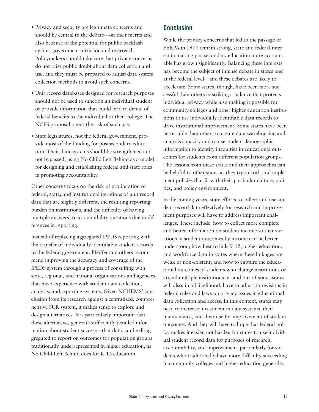- Privacy and security are legitimate concerns and should be central to the debate—on their merits and also because of the potential for public backlash against government intrusion and overreach. Policymakers should take care that privacy concerns do not raise public doubt about data collection and use, and they must be prepared to adjust data system collection methods to avoid such concerns.
- Unit record databases designed for research purposes should not be used to sanction an individual student or provide information that could lead to denial of federal benefits to the individual or their college. The NCES proposal opens the risk of such use.
- State legislatures, not the federal government, provide most of the funding for postsecondary education. Their data systems should be strengthened and not bypassed, using No Child Left Behind as a model for designing and establishing federal and state roles in promoting accountability.

Other concerns focus on the risk of proliferation of federal, state, and institutional iterations of unit record data that are slightly different, the resulting reporting burden on institutions, and the difficulty of having multiple answers to accountability questions due to differences in reporting.

Instead of replacing aggregated IPEDS reporting with the transfer of individually identifiable student records to the federal government, Pfeiffer and others recommend improving the accuracy and coverage of the IPEDS system through a process of consulting with state, regional, and national organizations and agencies that have experience with student data collection, analysis, and reporting systems. Given NCHEMS' conclusion from its research against a centralized, comprehensive SUR system, it makes sense to explore and design alternatives. It is particularly important that these alternatives generate sufficiently detailed information about student success—that data can be disaggregated to report on outcomes for population groups traditionally underrepresented in higher education, as No Child Left Behind does for K-12 education.

## **Conclusion**

While the privacy concerns that led to the passage of FERPA in 1974 remain strong, state and federal interest in making postsecondary education more accountable has grown significantly. Balancing these interests has become the subject of intense debate in states and at the federal level—and these debates are likely to accelerate. Some states, though, have been more successful than others in striking a balance that protects individual privacy while also making it possible for community colleges and other higher education institutions to use individually identifiable data records to drive institutional improvement. Some states have been better able than others to create data warehousing and analysis capacity and to use student demographic information to identify inequities in educational outcomes for students from different population groups. The lessons from these states and their approaches can be helpful to other states as they try to craft and implement policies that fit with their particular culture, politics, and policy environment.

In the coming years, state efforts to collect and use student record data effectively for research and improvement purposes will have to address important challenges. These include: how to collect more complete and better information on student income so that variations in student outcomes by income can be better understood; how best to link K-12, higher education, and workforce data in states where these linkages are weak or non-existent; and how to capture the educational outcomes of students who change institutions or attend multiple institutions in- and out-of-state. States will also, in all likelihood, have to adjust to revisions in federal rules and laws on privacy issues in educational data collection and access. In this context, states may need to increase investment in data systems, their maintenance, and their use for improvement of student outcomes. And they will have to hope that federal policy makes it easier, not harder, for states to use individual student record data for purposes of research, accountability, and improvement, particularly for students who traditionally have more difficulty succeeding in community colleges and higher education generally.